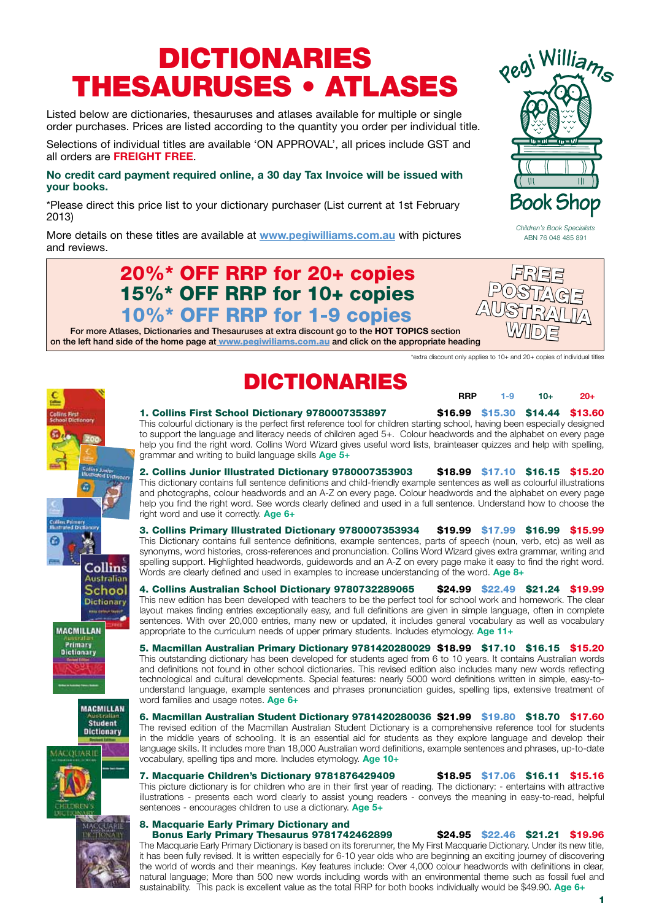# DICTIONARIES THESAURUSES • ATLASES

Listed below are dictionaries, thesauruses and atlases available for multiple or single order purchases. Prices are listed according to the quantity you order per individual title.

Selections of individual titles are available 'ON APPROVAL', all prices include GST and all orders are **FREIGHT FREE**.

#### **No credit card payment required online, a 30 day Tax Invoice will be issued with your books.**

\*Please direct this price list to your dictionary purchaser (List current at 1st February 2013)

More details on these titles are available at **www.pegiwilliams.com.au** with pictures and reviews.

### 20%\* OFF RRP for 20+ copies 15%\* OFF RRP for 10+ copies 10%\* OFF RRP for 1-9 copies

For more Atlases, Dictionaries and Thesauruses at extra discount go to the **HOT TOPICS** section on the left hand side of the home page at www.pegiwiliams.com.au and click on the appropriate heading

\*extra discount only applies to 10+ and 20+ copies of individual titles

# Collins **Australian** School **Dictionary MACMILLAN Primary**<br>Dictionary

Student<br>Dictionary

**CIERAR IE** 





#### 7. Macquarie Children's Dictionary 9781876429409 \$18.95 \$17.06 \$16.11 \$15.16 This picture dictionary is for children who are in their first year of reading. The dictionary: - entertains with attractive illustrations - presents each word clearly to assist young readers - conveys the meaning in easy-to-read, helpful sentences - encourages children to use a dictionary. **Age 5+**

#### 8. Macquarie Early Primary Dictionary and Bonus Early Primary Thesaurus 9781742462899 \$24.95 \$22.46 \$21.21 \$19.96

The Macquarie Early Primary Dictionary is based on its forerunner, the My First Macquarie Dictionary. Under its new title, it has been fully revised. It is written especially for 6-10 year olds who are beginning an exciting journey of discovering the world of words and their meanings. Key features include: Over 4,000 colour headwords with definitions in clear, natural language; More than 500 new words including words with an environmental theme such as fossil fuel and sustainability. This pack is excellent value as the total RRP for both books individually would be \$49.90**. Age 6+**

# DICTIONARIES

**RRP 1-9 10+ 20+** 

1. Collins First School Dictionary 9780007353897 \$16.99 \$15.30 \$14.44 \$13.60 This colourful dictionary is the perfect first reference tool for children starting school, having been especially designed to support the language and literacy needs of children aged 5+. Colour headwords and the alphabet on every page help you find the right word. Collins Word Wizard gives useful word lists, brainteaser quizzes and help with spelling, grammar and writing to build language skills **Age 5+**

2. Collins Junior Illustrated Dictionary 9780007353903 \$18.99 \$17.10 \$16.15 \$15.20 This dictionary contains full sentence definitions and child-friendly example sentences as well as colourful illustrations and photographs, colour headwords and an A-Z on every page. Colour headwords and the alphabet on every page help you find the right word. See words clearly defined and used in a full sentence. Understand how to choose the right word and use it correctly. **Age 6+**

3. Collins Primary Illustrated Dictionary 9780007353934 \$19.99 \$17.99 \$16.99 \$15.99 This Dictionary contains full sentence definitions, example sentences, parts of speech (noun, verb, etc) as well as synonyms, word histories, cross-references and pronunciation. Collins Word Wizard gives extra grammar, writing and spelling support. Highlighted headwords, guidewords and an A-Z on every page make it easy to find the right word. Words are clearly defined and used in examples to increase understanding of the word. **Age 8+**

4. Collins Australian School Dictionary 9780732289065 \$24.99 \$22.49 \$21.24 \$19.99 This new edition has been developed with teachers to be the perfect tool for school work and homework. The clear layout makes finding entries exceptionally easy, and full definitions are given in simple language, often in complete sentences. With over 20,000 entries, many new or updated, it includes general vocabulary as well as vocabulary appropriate to the curriculum needs of upper primary students. Includes etymology. **Age 11+**

5. Macmillan Australian Primary Dictionary 9781420280029 \$18.99 \$17.10 \$16.15 \$15.20 This outstanding dictionary has been developed for students aged from 6 to 10 years. It contains Australian words and definitions not found in other school dictionaries. This revised edition also includes many new words reflecting technological and cultural developments. Special features: nearly 5000 word definitions written in simple, easy-tounderstand language, example sentences and phrases pronunciation guides, spelling tips, extensive treatment of



*Children's Book Specialists* ABN 76 048 485 891

**Book Shop** 

Ш

Pegi Williams



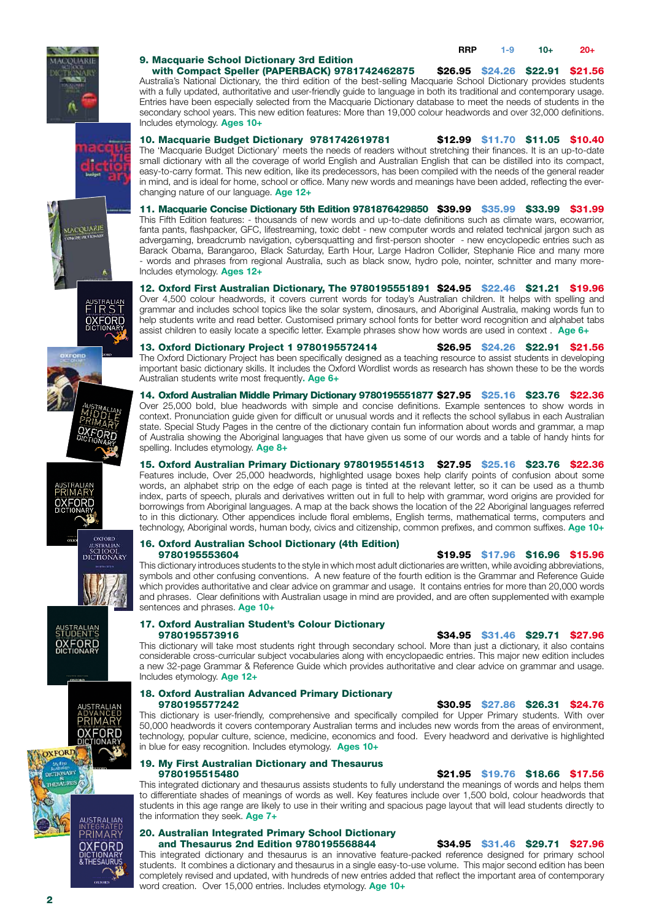



**MACQUARIE** PETICKAL

oxrono

**XFORD** 

OVEGRD NOSTRALIAN<br>SCHOOL<br>DICTIONARY

**A** 

australiae<br>FIRST **OXFORD** 

#### 9. Macquarie School Dictionary 3rd Edition

#### with Compact Speller (PAPERBACK) 9781742462875 \$26.95 \$24.26 \$22.91 \$21.56

Australia's National Dictionary, the third edition of the best-selling Macquarie School Dictionary provides students with a fully updated, authoritative and user-friendly guide to language in both its traditional and contemporary usage. Entries have been especially selected from the Macquarie Dictionary database to meet the needs of students in the secondary school years. This new edition features: More than 19,000 colour headwords and over 32,000 definitions. Includes etymology. **Ages 10+**

10. Macquarie Budget Dictionary 9781742619781 \$12.99 \$11.70 \$11.05 \$10.40 The 'Macquarie Budget Dictionary' meets the needs of readers without stretching their finances. It is an up-to-date small dictionary with all the coverage of world English and Australian English that can be distilled into its compact, easy-to-carry format. This new edition, like its predecessors, has been compiled with the needs of the general reader in mind, and is ideal for home, school or office. Many new words and meanings have been added, reflecting the everchanging nature of our language. **Age 12+**

11. Macquarie Concise Dictionary 5th Edition 9781876429850 \$39.99 \$35.99 \$33.99 \$31.99 This Fifth Edition features: - thousands of new words and up-to-date definitions such as climate wars, ecowarrior, fanta pants, flashpacker, GFC, lifestreaming, toxic debt - new computer words and related technical jargon such as advergaming, breadcrumb navigation, cybersquatting and first-person shooter - new encyclopedic entries such as Barack Obama, Barangaroo, Black Saturday, Earth Hour, Large Hadron Collider, Stephanie Rice and many more words and phrases from regional Australia, such as black snow, hydro pole, nointer, schnitter and many more-Includes etymology. **Ages 12+**

12. Oxford First Australian Dictionary, The 9780195551891 \$24.95 \$22.46 \$21.21 \$19.96 Over 4,500 colour headwords, it covers current words for today's Australian children. It helps with spelling and grammar and includes school topics like the solar system, dinosaurs, and Aboriginal Australia, making words fun to help students write and read better. Customised primary school fonts for better word recognition and alphabet tabs assist children to easily locate a specific letter. Example phrases show how words are used in context . **Age 6+**

13. Oxford Dictionary Project 1 9780195572414 \$26.95 \$24.26 \$22.91 \$21.56 The Oxford Dictionary Project has been specifically designed as a teaching resource to assist students in developing important basic dictionary skills. It includes the Oxford Wordlist words as research has shown these to be the words Australian students write most frequently**. Age 6+**

14. Oxford Australian Middle Primary Dictionary 9780195551877 \$27.95 \$25.16 \$23.76 \$22.36 Over 25,000 bold, blue headwords with simple and concise definitions. Example sentences to show words in context. Pronunciation guide given for difficult or unusual words and it reflects the school syllabus in each Australian state. Special Study Pages in the centre of the dictionary contain fun information about words and grammar, a map of Australia showing the Aboriginal languages that have given us some of our words and a table of handy hints for spelling. Includes etymology. **Age 8+** 

15. Oxford Australian Primary Dictionary 9780195514513 \$27.95 \$25.16 \$23.76 \$22.36 Features include, Over 25,000 headwords, highlighted usage boxes help clarify points of confusion about some words, an alphabet strip on the edge of each page is tinted at the relevant letter, so it can be used as a thumb index, parts of speech, plurals and derivatives written out in full to help with grammar, word origins are provided for borrowings from Aboriginal languages. A map at the back shows the location of the 22 Aboriginal languages referred to in this dictionary. Other appendices include floral emblems, English terms, mathematical terms, computers and technology, Aboriginal words, human body, civics and citizenship, common prefixes, and common suffixes. **Age 10+**

## 16. Oxford Australian School Dictionary (4th Edition)

\$19.95 \$17.96 \$16.96 \$15.96 This dictionary introduces students to the style in which most adult dictionaries are written, while avoiding abbreviations, symbols and other confusing conventions. A new feature of the fourth edition is the Grammar and Reference Guide which provides authoritative and clear advice on grammar and usage. It contains entries for more than 20,000 words and phrases. Clear definitions with Australian usage in mind are provided, and are often supplemented with example sentences and phrases. Age 10+

#### 17. Oxford Australian Student's Colour Dictionary 9780195573916 \$34.95 \$31.46 \$29.71 \$27.96

This dictionary will take most students right through secondary school. More than just a dictionary, it also contains considerable cross-curricular subject vocabularies along with encyclopaedic entries. This major new edition includes a new 32-page Grammar & Reference Guide which provides authoritative and clear advice on grammar and usage. Includes etymology. **Age 12+**

#### 18. Oxford Australian Advanced Primary Dictionary 9780195577242 \$30.95 \$27.86 \$26.31 \$24.76

This dictionary is user-friendly, comprehensive and specifically compiled for Upper Primary students. With over 50,000 headwords it covers contemporary Australian terms and includes new words from the areas of environment, technology, popular culture, science, medicine, economics and food. Every headword and derivative is highlighted in blue for easy recognition. Includes etymology. **Ages 10+**

### 19. My First Australian Dictionary and Thesaurus

\$21.95 \$19.76 \$18.66 \$17.56 This integrated dictionary and thesaurus assists students to fully understand the meanings of words and helps them to differentiate shades of meanings of words as well. Key features include over 1,500 bold, colour headwords that students in this age range are likely to use in their writing and spacious page layout that will lead students directly to the information they seek. **Age 7+**

#### 20. Australian Integrated Primary School Dictionary and Thesaurus 2nd Edition 9780195568844 \$34.95 \$31.46 \$29.71 \$27.96

This integrated dictionary and thesaurus is an innovative feature-packed reference designed for primary school students. It combines a dictionary and thesaurus in a single easy-to-use volume. This major second edition has been completely revised and updated, with hundreds of new entries added that reflect the important area of contemporary word creation. Over 15,000 entries. Includes etymology. **Age 10+**

STUDENTS<br>OXFORD

**RIMARY** OXFORD

**JSTRALIAN** 

RIMARY **XFORD**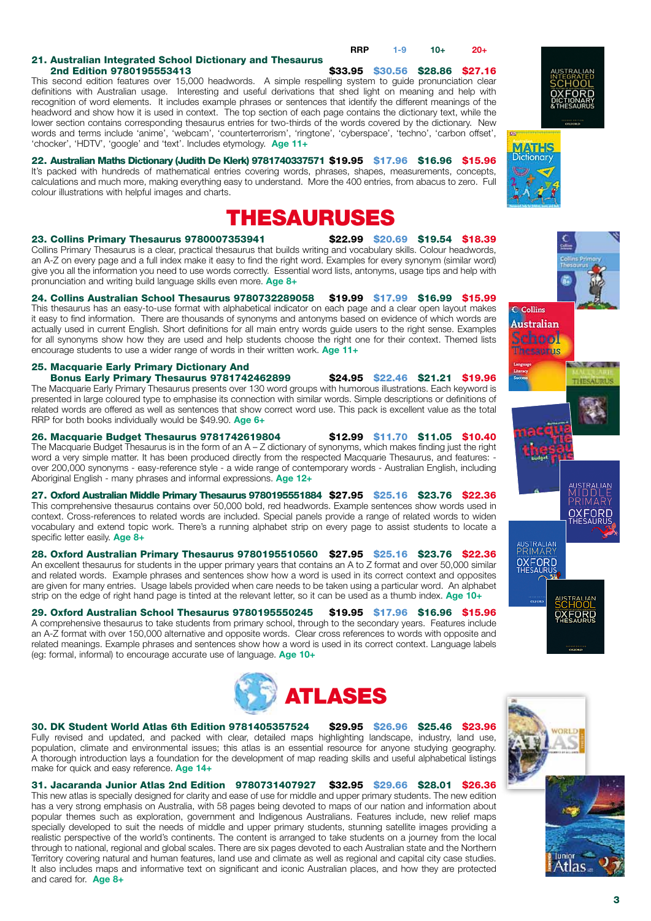

\$33.95 \$30.56 \$28.86 \$27.16 This second edition features over 15,000 headwords. A simple respelling system to guide pronunciation clear definitions with Australian usage. Interesting and useful derivations that shed light on meaning and help with recognition of word elements. It includes example phrases or sentences that identify the different meanings of the headword and show how it is used in context. The top section of each page contains the dictionary text, while the lower section contains corresponding thesaurus entries for two-thirds of the words covered by the dictionary. New words and terms include 'anime', 'webcam', 'counterterrorism', 'ringtone', 'cyberspace', 'techno', 'carbon offset', 'chocker', 'HDTV', 'google' and 'text'. Includes etymology. **Age 11+**

#### 22. Australian Maths Dictionary (Judith De Klerk) 9781740337571 \$19.95 \$17.96 \$16.96 \$15.96

It's packed with hundreds of mathematical entries covering words, phrases, shapes, measurements, concepts, calculations and much more, making everything easy to understand. More the 400 entries, from abacus to zero. Full colour illustrations with helpful images and charts.

# THESAURUSES

#### 23. Collins Primary Thesaurus 9780007353941 \$22.99 \$20.69 \$19.54 \$18.39

Collins Primary Thesaurus is a clear, practical thesaurus that builds writing and vocabulary skills. Colour headwords, an A-Z on every page and a full index make it easy to find the right word. Examples for every synonym (similar word) give you all the information you need to use words correctly. Essential word lists, antonyms, usage tips and help with pronunciation and writing build language skills even more. **Age 8+**

#### 24. Collins Australian School Thesaurus 9780732289058 \$19.99 \$17.99 \$16.99 \$15.99

This thesaurus has an easy-to-use format with alphabetical indicator on each page and a clear open layout makes it easy to find information. There are thousands of synonyms and antonyms based on evidence of which words are actually used in current English. Short definitions for all main entry words guide users to the right sense. Examples for all synonyms show how they are used and help students choose the right one for their context. Themed lists encourage students to use a wider range of words in their written work. **Age 11+**

#### 25. Macquarie Early Primary Dictionary And Bonus Early Primary Thesaurus 9781742462899 \$24.95 \$22.46 \$21.21 \$19.96

The Macquarie Early Primary Thesaurus presents over 130 word groups with humorous illustrations. Each keyword is presented in large coloured type to emphasise its connection with similar words. Simple descriptions or definitions of related words are offered as well as sentences that show correct word use. This pack is excellent value as the total RRP for both books individually would be \$49.90. **Age 6+**

26. Macquarie Budget Thesaurus 9781742619804 \$12.99 \$11.70 \$11.05 \$10.40 The Macquarie Budget Thesaurus is in the form of an A – Z dictionary of synonyms, which makes finding just the right word a very simple matter. It has been produced directly from the respected Macquarie Thesaurus, and features: over 200,000 synonyms - easy-reference style - a wide range of contemporary words - Australian English, including Aboriginal English - many phrases and informal expressions. **Age 12+**

27. Oxford Australian Middle Primary Thesaurus 9780195551884 \$27.95 \$25.16 \$23.76 \$22.36 This comprehensive thesaurus contains over 50,000 bold, red headwords. Example sentences show words used in context. Cross-references to related words are included. Special panels provide a range of related words to widen vocabulary and extend topic work. There's a running alphabet strip on every page to assist students to locate a specific letter easily. **Age 8+**

#### 28. Oxford Australian Primary Thesaurus 9780195510560 \$27.95 \$25.16 \$23.76 \$22.36

An excellent thesaurus for students in the upper primary years that contains an A to Z format and over 50,000 similar and related words. Example phrases and sentences show how a word is used in its correct context and opposites are given for many entries. Usage labels provided when care needs to be taken using a particular word. An alphabet strip on the edge of right hand page is tinted at the relevant letter, so it can be used as a thumb index. **Age 10+**

#### 29. Oxford Australian School Thesaurus 9780195550245 \$19.95 \$17.96 \$16.96 \$15.96 A comprehensive thesaurus to take students from primary school, through to the secondary years. Features include

an A-Z format with over 150,000 alternative and opposite words. Clear cross references to words with opposite and related meanings. Example phrases and sentences show how a word is used in its correct context. Language labels (eg: formal, informal) to encourage accurate use of language. **Age 10+**



#### 30. DK Student World Atlas 6th Edition 9781405357524 \$29.95 \$26.96 \$25.46 \$23.96

Fully revised and updated, and packed with clear, detailed maps highlighting landscape, industry, land use, population, climate and environmental issues; this atlas is an essential resource for anyone studying geography. A thorough introduction lays a foundation for the development of map reading skills and useful alphabetical listings make for quick and easy reference. **Age 14+**

31. Jacaranda Junior Atlas 2nd Edition 9780731407927 \$32.95 \$29.66 \$28.01 \$26.36 This new atlas is specially designed for clarity and ease of use for middle and upper primary students. The new edition

has a very strong emphasis on Australia, with 58 pages being devoted to maps of our nation and information about popular themes such as exploration, government and Indigenous Australians. Features include, new relief maps specially developed to suit the needs of middle and upper primary students, stunning satellite images providing a realistic perspective of the world's continents. The content is arranged to take students on a journey from the local through to national, regional and global scales. There are six pages devoted to each Australian state and the Northern Territory covering natural and human features, land use and climate as well as regional and capital city case studies. It also includes maps and informative text on significant and iconic Australian places, and how they are protected and cared for. **Age 8+**



**C** Collins **Australian** chool hesaurus



JSTRALIAN<br>RIMARY **OXFORD** 



USTRALIAN

OXFORD